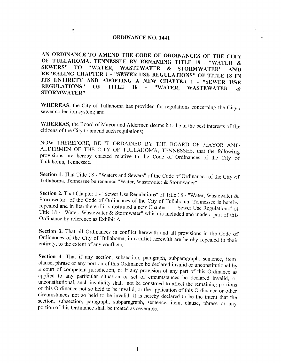#### **ORDINANCE NO. 1441**

 $\frac{\partial \mathcal{S}_n}{\partial \mathcal{A}}$ 

AN ORDINANCE TO AMEND THE CODE OF ORDINANCES OF THE CITY OF TULLAHOMA, TENNESSEE BY RENAMING TITLE 18 - "WATER & SEWERS" TO "WATER, WASTEWATER  $\mathbf{\&}$ STORMWATER" **AND** REPEALING CHAPTER 1 - "SEWER USE REGULATIONS" OF TITLE 18 IN ITS ENTIRETY AND ADOPTING A NEW CHAPTER 1 - "SEWER USE **REGULATIONS"** OF **TITLE**  $-18$ "WATER,  $\omega$ **WASTEWATER**  $\boldsymbol{\mathcal{X}}$ **STORMWATER"** 

WHEREAS, the City of Tullahoma has provided for regulations concerning the City's sewer collection system; and

WHEREAS, the Board of Mayor and Aldermen deems it to be in the best interests of the citizens of the City to amend such regulations;

NOW THEREFORE, BE IT ORDAINED BY THE BOARD OF MAYOR AND ALDERMEN OF THE CITY OF TULLAHOMA, TENNESSEE, that the following provisions are hereby enacted relative to the Code of Ordinances of the City of Tullahoma, Tennessee.

Section 1. That Title 18 - "Waters and Sewers" of the Code of Ordinances of the City of Tullahoma, Tennessee be renamed "Water, Wastewater & Stormwater".

Section 2. That Chapter 1 - "Sewer Use Regulations" of Title 18 - "Water, Wastewater & Stormwater" of the Code of Ordinances of the City of Tullahoma, Tennessee is hereby repealed and in lieu thereof is substituted a new Chapter 1 - "Sewer Use Regulations" of Title 18 - "Water, Wastewater & Stormwater" which is included and made a part of this Ordinance by reference as Exhibit A.

Section 3. That all Ordinances in conflict herewith and all provisions in the Code of Ordinances of the City of Tullahoma, in conflict herewith are hereby repealed in their entirety, to the extent of any conflicts.

Section 4. That if any section, subsection, paragraph, subparagraph, sentence, item, clause, phrase or any portion of this Ordinance be declared invalid or unconstitutional by a court of competent jurisdiction, or if any provision of any part of this Ordinance as applied to any particular situation or set of circumstances be declared invalid, or unconstitutional, such invalidity shall not be construed to affect the remaining portions of this Ordinance not so held to be invalid, or the application of this Ordinance or other circumstances not so held to be invalid. It is hereby declared to be the intent that the section, subsection, paragraph, subparagraph, sentence, item, clause, phrase or any portion of this Ordinance shall be treated as severable.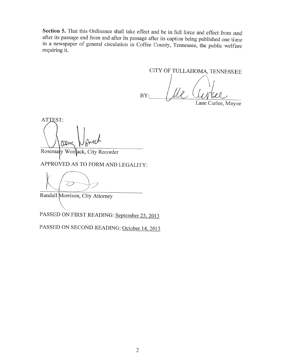Section 5. That this Ordinance shall take effect and be in full force and effect from and after its passage and from and after its passage after its caption being published one time in a newspaper of general circulation in Coffee County, Tennessee, the public welfare requiring it.

CITY OF TULLAHOMA, TENNESSEE

BY:

Lane Curlee, Mayor

ATTEST: (Dm

Rosemary Womack, City Recorder

APPROVED AS TO FORM AND LEGALITY:

Randall Morrison, City Attorney

PASSED ON FIRST READING: September 23, 2013

PASSED ON SECOND READING: October 14, 2013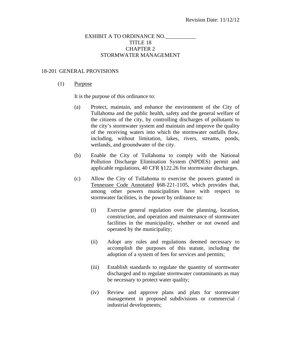# EXHIBIT A TO ORDINANCE NO. TITLE 18 CHAPTER 2 STORMWATER MANAGEMENT

#### 18-201 GENERAL PROVISIONS

#### (1) Purpose

It is the purpose of this ordinance to:

- (a) Protect, maintain, and enhance the environment of the City of Tullahoma and the public health, safety and the general welfare of the citizens of the city, by controlling discharges of pollutants to the city's stormwater system and maintain and improve the quality of the receiving waters into which the stormwater outfalls flow, including, without limitation, lakes, rivers, streams, ponds, wetlands, and groundwater of the city.
- (b) Enable the City of Tullahoma to comply with the National Pollution Discharge Elimination System (NPDES) permit and applicable regulations, 40 CFR §122.26 for stormwater discharges.
- (c) Allow the City of Tullahoma to exercise the powers granted in Tennessee Code Annotated §68-221-1105, which provides that, among other powers municipalities have with respect to stormwater facilities, is the power by ordinance to:
	- (i) Exercise general regulation over the planning, location, construction, and operation and maintenance of stormwater facilities in the municipality, whether or not owned and operated by the municipality;
	- (ii) Adopt any rules and regulations deemed necessary to accomplish the purposes of this statute, including the adoption of a system of fees for services and permits;
	- (iii) Establish standards to regulate the quantity of stormwater discharged and to regulate stormwater contaminants as may be necessary to protect water quality;
	- (iv) Review and approve plans and plats for stormwater management in proposed subdivisions or commercial / industrial developments;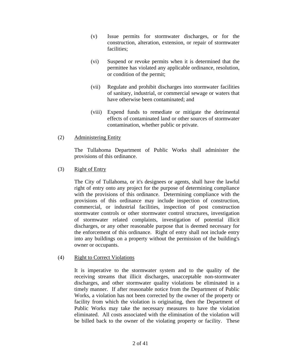- (v) Issue permits for stormwater discharges, or for the construction, alteration, extension, or repair of stormwater facilities;
- (vi) Suspend or revoke permits when it is determined that the permittee has violated any applicable ordinance, resolution, or condition of the permit;
- (vii) Regulate and prohibit discharges into stormwater facilities of sanitary, industrial, or commercial sewage or waters that have otherwise been contaminated; and
- (viii) Expend funds to remediate or mitigate the detrimental effects of contaminated land or other sources of stormwater contamination, whether public or private.
- (2) Administering Entity

 The Tullahoma Department of Public Works shall administer the provisions of this ordinance.

(3) Right of Entry

 The City of Tullahoma, or it's designees or agents, shall have the lawful right of entry onto any project for the purpose of determining compliance with the provisions of this ordinance. Determining compliance with the provisions of this ordinance may include inspection of construction, commercial, or industrial facilities, inspection of post construction stormwater controls or other stormwater control structures, investigation of stormwater related complaints, investigation of potential illicit discharges, or any other reasonable purpose that is deemed necessary for the enforcement of this ordinance. Right of entry shall not include entry into any buildings on a property without the permission of the building's owner or occupants.

### (4) Right to Correct Violations

 It is imperative to the stormwater system and to the quality of the receiving streams that illicit discharges, unacceptable non-stormwater discharges, and other stormwater quality violations be eliminated in a timely manner. If after reasonable notice from the Department of Public Works, a violation has not been corrected by the owner of the property or facility from which the violation is originating, then the Department of Public Works may take the necessary measures to have the violation eliminated. All costs associated with the elimination of the violation will be billed back to the owner of the violating property or facility. These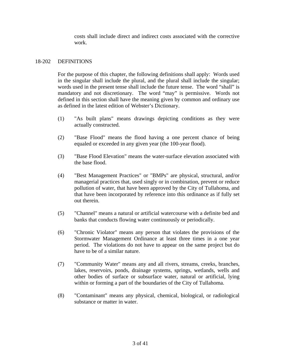costs shall include direct and indirect costs associated with the corrective work.

# 18-202 DEFINITIONS

 For the purpose of this chapter, the following definitions shall apply: Words used in the singular shall include the plural, and the plural shall include the singular; words used in the present tense shall include the future tense. The word "shall" is mandatory and not discretionary. The word "may" is permissive. Words not defined in this section shall have the meaning given by common and ordinary use as defined in the latest edition of Webster's Dictionary.

- (1) "As built plans" means drawings depicting conditions as they were actually constructed.
- (2) "Base Flood" means the flood having a one percent chance of being equaled or exceeded in any given year (the 100-year flood).
- (3) "Base Flood Elevation" means the water-surface elevation associated with the base flood.
- (4) "Best Management Practices" or "BMPs" are physical, structural, and/or managerial practices that, used singly or in combination, prevent or reduce pollution of water, that have been approved by the City of Tullahoma, and that have been incorporated by reference into this ordinance as if fully set out therein.
- (5) "Channel" means a natural or artificial watercourse with a definite bed and banks that conducts flowing water continuously or periodically.
- (6) "Chronic Violator" means any person that violates the provisions of the Stormwater Management Ordinance at least three times in a one year period. The violations do not have to appear on the same project but do have to be of a similar nature.
- (7) "Community Water" means any and all rivers, streams, creeks, branches, lakes, reservoirs, ponds, drainage systems, springs, wetlands, wells and other bodies of surface or subsurface water, natural or artificial, lying within or forming a part of the boundaries of the City of Tullahoma.
- (8) "Contaminant" means any physical, chemical, biological, or radiological substance or matter in water.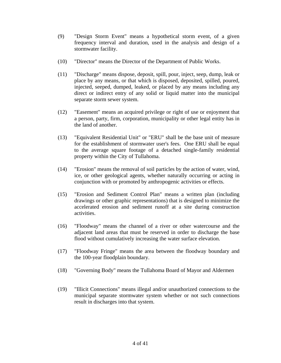- (9) "Design Storm Event" means a hypothetical storm event, of a given frequency interval and duration, used in the analysis and design of a stormwater facility.
- (10) "Director" means the Director of the Department of Public Works.
- (11) "Discharge" means dispose, deposit, spill, pour, inject, seep, dump, leak or place by any means, or that which is disposed, deposited, spilled, poured, injected, seeped, dumped, leaked, or placed by any means including any direct or indirect entry of any solid or liquid matter into the municipal separate storm sewer system.
- (12) "Easement" means an acquired privilege or right of use or enjoyment that a person, party, firm, corporation, municipality or other legal entity has in the land of another.
- (13) "Equivalent Residential Unit" or "ERU" shall be the base unit of measure for the establishment of stormwater user's fees. One ERU shall be equal to the average square footage of a detached single-family residential property within the City of Tullahoma.
- (14) "Erosion" means the removal of soil particles by the action of water, wind, ice, or other geological agents, whether naturally occurring or acting in conjunction with or promoted by anthropogenic activities or effects.
- (15) "Erosion and Sediment Control Plan" means a written plan (including drawings or other graphic representations) that is designed to minimize the accelerated erosion and sediment runoff at a site during construction activities.
- (16) "Floodway" means the channel of a river or other watercourse and the adjacent land areas that must be reserved in order to discharge the base flood without cumulatively increasing the water surface elevation.
- (17) "Floodway Fringe" means the area between the floodway boundary and the 100-year floodplain boundary.
- (18) "Governing Body" means the Tullahoma Board of Mayor and Aldermen
- (19) "Illicit Connections" means illegal and/or unauthorized connections to the municipal separate stormwater system whether or not such connections result in discharges into that system.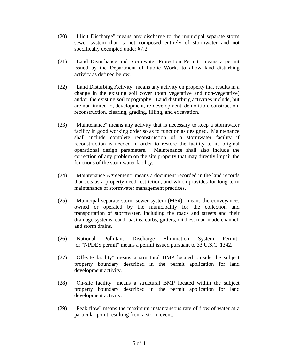- (20) "Illicit Discharge" means any discharge to the municipal separate storm sewer system that is not composed entirely of stormwater and not specifically exempted under §7.2.
- (21) "Land Disturbance and Stormwater Protection Permit" means a permit issued by the Department of Public Works to allow land disturbing activity as defined below.
- (22) "Land Disturbing Activity" means any activity on property that results in a change in the existing soil cover (both vegetative and non-vegetative) and/or the existing soil topography. Land disturbing activities include, but are not limited to, development, re-development, demolition, construction, reconstruction, clearing, grading, filling, and excavation.
- (23) "Maintenance" means any activity that is necessary to keep a stormwater facility in good working order so as to function as designed. Maintenance shall include complete reconstruction of a stormwater facility if reconstruction is needed in order to restore the facility to its original operational design parameters. Maintenance shall also include the correction of any problem on the site property that may directly impair the functions of the stormwater facility.
- (24) "Maintenance Agreement" means a document recorded in the land records that acts as a property deed restriction, and which provides for long-term maintenance of stormwater management practices.
- (25) "Municipal separate storm sewer system (MS4)" means the conveyances owned or operated by the municipality for the collection and transportation of stormwater, including the roads and streets and their drainage systems, catch basins, curbs, gutters, ditches, man-made channel, and storm drains.
- (26) "National Pollutant Discharge Elimination System Permit" or "NPDES permit" means a permit issued pursuant to 33 U.S.C. 1342.
- (27) "Off-site facility" means a structural BMP located outside the subject property boundary described in the permit application for land development activity.
- (28) "On-site facility" means a structural BMP located within the subject property boundary described in the permit application for land development activity.
- (29) "Peak flow" means the maximum instantaneous rate of flow of water at a particular point resulting from a storm event.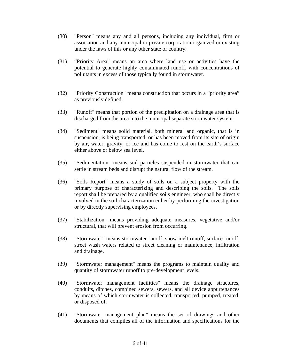- (30) "Person" means any and all persons, including any individual, firm or association and any municipal or private corporation organized or existing under the laws of this or any other state or country.
- (31) "Priority Area" means an area where land use or activities have the potential to generate highly contaminated runoff, with concentrations of pollutants in excess of those typically found in stormwater.
- (32) "Priority Construction" means construction that occurs in a "priority area" as previously defined.
- (33) "Runoff" means that portion of the precipitation on a drainage area that is discharged from the area into the municipal separate stormwater system.
- (34) "Sediment" means solid material, both mineral and organic, that is in suspension, is being transported, or has been moved from its site of origin by air, water, gravity, or ice and has come to rest on the earth's surface either above or below sea level.
- (35) "Sedimentation" means soil particles suspended in stormwater that can settle in stream beds and disrupt the natural flow of the stream.
- (36) "Soils Report" means a study of soils on a subject property with the primary purpose of characterizing and describing the soils. The soils report shall be prepared by a qualified soils engineer, who shall be directly involved in the soil characterization either by performing the investigation or by directly supervising employees.
- (37) "Stabilization" means providing adequate measures, vegetative and/or structural, that will prevent erosion from occurring.
- (38) "Stormwater" means stormwater runoff, snow melt runoff, surface runoff, street wash waters related to street cleaning or maintenance, infiltration and drainage.
- (39) "Stormwater management" means the programs to maintain quality and quantity of stormwater runoff to pre-development levels.
- (40) "Stormwater management facilities" means the drainage structures, conduits, ditches, combined sewers, sewers, and all device appurtenances by means of which stormwater is collected, transported, pumped, treated, or disposed of.
- (41) "Stormwater management plan" means the set of drawings and other documents that compiles all of the information and specifications for the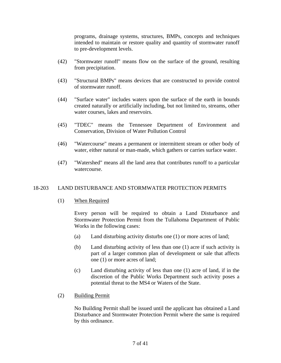programs, drainage systems, structures, BMPs, concepts and techniques intended to maintain or restore quality and quantity of stormwater runoff to pre-development levels.

- (42) "Stormwater runoff" means flow on the surface of the ground, resulting from precipitation.
- (43) "Structural BMPs" means devices that are constructed to provide control of stormwater runoff.
- (44) "Surface water" includes waters upon the surface of the earth in bounds created naturally or artificially including, but not limited to, streams, other water courses, lakes and reservoirs.
- (45) "TDEC" means the Tennessee Department of Environment and Conservation, Division of Water Pollution Control
- (46) "Watercourse" means a permanent or intermittent stream or other body of water, either natural or man-made, which gathers or carries surface water.
- (47) "Watershed" means all the land area that contributes runoff to a particular watercourse.

### 18-203 LAND DISTURBANCE AND STORMWATER PROTECTION PERMITS

(1) When Required

 Every person will be required to obtain a Land Disturbance and Stormwater Protection Permit from the Tullahoma Department of Public Works in the following cases:

- (a) Land disturbing activity disturbs one (1) or more acres of land;
- (b) Land disturbing activity of less than one (1) acre if such activity is part of a larger common plan of development or sale that affects one (1) or more acres of land;
- (c) Land disturbing activity of less than one (1) acre of land, if in the discretion of the Public Works Department such activity poses a potential threat to the MS4 or Waters of the State.
- (2) Building Permit

 No Building Permit shall be issued until the applicant has obtained a Land Disturbance and Stormwater Protection Permit where the same is required by this ordinance.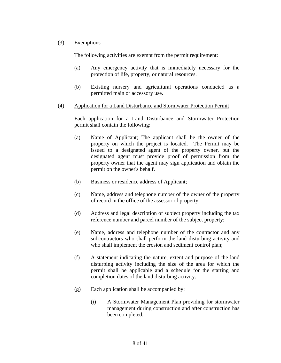## (3) Exemptions

The following activities are exempt from the permit requirement:

- (a) Any emergency activity that is immediately necessary for the protection of life, property, or natural resources.
- (b) Existing nursery and agricultural operations conducted as a permitted main or accessory use.
- (4) Application for a Land Disturbance and Stormwater Protection Permit

 Each application for a Land Disturbance and Stormwater Protection permit shall contain the following:

- (a) Name of Applicant; The applicant shall be the owner of the property on which the project is located. The Permit may be issued to a designated agent of the property owner, but the designated agent must provide proof of permission from the property owner that the agent may sign application and obtain the permit on the owner's behalf.
- (b) Business or residence address of Applicant;
- (c) Name, address and telephone number of the owner of the property of record in the office of the assessor of property;
- (d) Address and legal description of subject property including the tax reference number and parcel number of the subject property;
- (e) Name, address and telephone number of the contractor and any subcontractors who shall perform the land disturbing activity and who shall implement the erosion and sediment control plan;
- (f) A statement indicating the nature, extent and purpose of the land disturbing activity including the size of the area for which the permit shall be applicable and a schedule for the starting and completion dates of the land disturbing activity.
- (g) Each application shall be accompanied by:
	- (i) A Stormwater Management Plan providing for stormwater management during construction and after construction has been completed.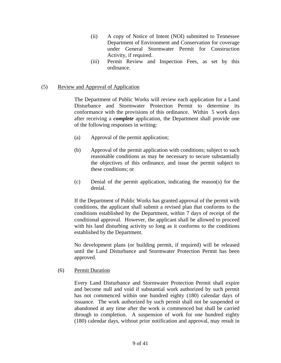- (ii) A copy of Notice of Intent (NOI) submitted to Tennessee Department of Environment and Conservation for coverage under General Stormwater Permit for Construction Activity, if required.
- (iii) Permit Review and Inspection Fees, as set by this ordinance.

## (5) Review and Approval of Application

 The Department of Public Works will review each application for a Land Disturbance and Stormwater Protection Permit to determine its conformance with the provisions of this ordinance. Within 5 work days after receiving a *complete* application, the Department shall provide one of the following responses in writing:

- (a) Approval of the permit application;
- (b) Approval of the permit application with conditions; subject to such reasonable conditions as may be necessary to secure substantially the objectives of this ordinance, and issue the permit subject to these conditions; or
- (c) Denial of the permit application, indicating the reason(s) for the denial.

 If the Department of Public Works has granted approval of the permit with conditions, the applicant shall submit a revised plan that conforms to the conditions established by the Department, within 7 days of receipt of the conditional approval. However, the applicant shall be allowed to proceed with his land disturbing activity so long as it conforms to the conditions established by the Department.

 No development plans (or building permit, if required) will be released until the Land Disturbance and Stormwater Protection Permit has been approved.

### (6) Permit Duration

 Every Land Disturbance and Stormwater Protection Permit shall expire and become null and void if substantial work authorized by such permit has not commenced within one hundred eighty (180) calendar days of issuance. The work authorized by such permit shall not be suspended or abandoned at any time after the work is commenced but shall be carried through to completion. A suspension of work for one hundred eighty (180) calendar days, without prior notification and approval, may result in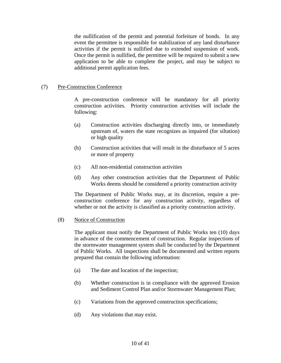the nullification of the permit and potential forfeiture of bonds. In any event the permittee is responsible for stabilization of any land disturbance activities if the permit is nullified due to extended suspension of work. Once the permit is nullified, the permittee will be required to submit a new application to be able to complete the project, and may be subject to additional permit application fees.

## (7) Pre-Construction Conference

 A pre-construction conference will be mandatory for all priority construction activities. Priority construction activities will include the following:

- (a) Construction activities discharging directly into, or immediately upstream of, waters the state recognizes as impaired (for siltation) or high quality
- (b) Construction activities that will result in the disturbance of 5 acres or more of property
- (c) All non-residential construction activities
- (d) Any other construction activities that the Department of Public Works deems should be considered a priority construction activity

 The Department of Public Works may, at its discretion, require a preconstruction conference for any construction activity, regardless of whether or not the activity is classified as a priority construction activity.

### (8) Notice of Construction

 The applicant must notify the Department of Public Works ten (10) days in advance of the commencement of construction. Regular inspections of the stormwater management system shall be conducted by the Department of Public Works. All inspections shall be documented and written reports prepared that contain the following information:

- (a) The date and location of the inspection;
- (b) Whether construction is in compliance with the approved Erosion and Sediment Control Plan and/or Stormwater Management Plan;
- (c) Variations from the approved construction specifications;
- (d) Any violations that may exist.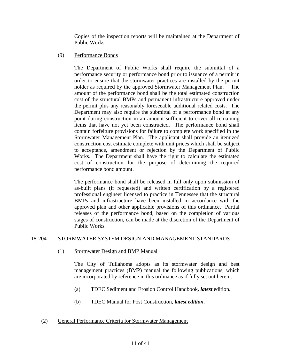Copies of the inspection reports will be maintained at the Department of Public Works.

# (9) Performance Bonds

 The Department of Public Works shall require the submittal of a performance security or performance bond prior to issuance of a permit in order to ensure that the stormwater practices are installed by the permit holder as required by the approved Stormwater Management Plan. The amount of the performance bond shall be the total estimated construction cost of the structural BMPs and permanent infrastructure approved under the permit plus any reasonably foreseeable additional related costs. The Department may also require the submittal of a performance bond at any point during construction in an amount sufficient to cover all remaining items that have not yet been constructed. The performance bond shall contain forfeiture provisions for failure to complete work specified in the Stormwater Management Plan. The applicant shall provide an itemized construction cost estimate complete with unit prices which shall be subject to acceptance, amendment or rejection by the Department of Public Works. The Department shall have the right to calculate the estimated cost of construction for the purpose of determining the required performance bond amount.

 The performance bond shall be released in full only upon submission of as-built plans (if requested) and written certification by a registered professional engineer licensed to practice in Tennessee that the structural BMPs and infrastructure have been installed in accordance with the approved plan and other applicable provisions of this ordinance. Partial releases of the performance bond, based on the completion of various stages of construction, can be made at the discretion of the Department of Public Works.

# 18-204 STORMWATER SYSTEM DESIGN AND MANAGEMENT STANDARDS

(1) Stormwater Design and BMP Manual

 The City of Tullahoma adopts as its stormwater design and best management practices (BMP) manual the following publications, which are incorporated by reference in this ordinance as if fully set out herein:

- (a) TDEC Sediment and Erosion Control Handbook*, latest* edition.
- (b) TDEC Manual for Post Construction, *latest edition*.

### (2) General Performance Criteria for Stormwater Management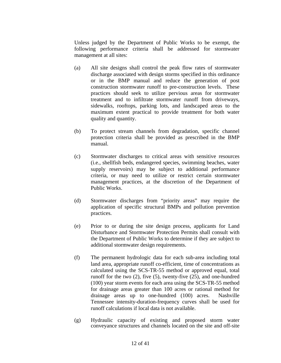Unless judged by the Department of Public Works to be exempt, the following performance criteria shall be addressed for stormwater management at all sites:

- (a) All site designs shall control the peak flow rates of stormwater discharge associated with design storms specified in this ordinance or in the BMP manual and reduce the generation of post construction stormwater runoff to pre-construction levels. These practices should seek to utilize pervious areas for stormwater treatment and to infiltrate stormwater runoff from driveways, sidewalks, rooftops, parking lots, and landscaped areas to the maximum extent practical to provide treatment for both water quality and quantity.
- (b) To protect stream channels from degradation, specific channel protection criteria shall be provided as prescribed in the BMP manual.
- (c) Stormwater discharges to critical areas with sensitive resources (i.e., shellfish beds, endangered species, swimming beaches, water supply reservoirs) may be subject to additional performance criteria, or may need to utilize or restrict certain stormwater management practices, at the discretion of the Department of Public Works.
- (d) Stormwater discharges from "priority areas" may require the application of specific structural BMPs and pollution prevention practices.
- (e) Prior to or during the site design process, applicants for Land Disturbance and Stormwater Protection Permits shall consult with the Department of Public Works to determine if they are subject to additional stormwater design requirements.
- (f) The permanent hydrologic data for each sub-area including total land area, appropriate runoff co-efficient, time of concentrations as calculated using the SCS-TR-55 method or approved equal, total runoff for the two (2), five (5), twenty-five (25), and one-hundred (100) year storm events for each area using the SCS-TR-55 method for drainage areas greater than 100 acres or rational method for drainage areas up to one-hundred (100) acres. Nashville Tennessee intensity-duration-frequency curves shall be used for runoff calculations if local data is not available.
- (g) Hydraulic capacity of existing and proposed storm water conveyance structures and channels located on the site and off-site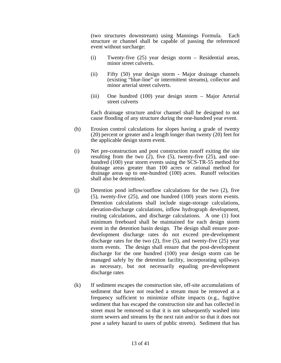(two structures downstream) using Mannings Formula. Each structure or channel shall be capable of passing the referenced event without surcharge:

- (i) Twenty-five (25) year design storm Residential areas, minor street culverts.
- (ii) Fifty (50) year design storm Major drainage channels (existing "blue-line" or intermittent streams), collector and minor arterial street culverts.
- (iii) One hundred (100) year design storm Major Arterial street culverts

Each drainage structure and/or channel shall be designed to not cause flooding of any structure during the one-hundred year event.

- (h) Erosion control calculations for slopes having a grade of twenty (20) percent or greater and a length longer than twenty (20) feet for the applicable design storm event.
- (i) Net pre-construction and post construction runoff exiting the site resulting from the two  $(2)$ , five  $(5)$ , twenty-five  $(25)$ , and onehundred (100) year storm events using the SCS-TR-55 method for drainage areas greater than 100 acres or rational method for drainage areas up to one-hundred (100) acres. Runoff velocities shall also be determined.
- (j) Detention pond inflow/outflow calculations for the two (2), five (5), twenty-five (25), and one hundred (100) years storm events. Detention calculations shall include stage-storage calculations, elevation-discharge calculations, inflow hydrograph development, routing calculations, and discharge calculations. A one (1) foot minimum freeboard shall be maintained for each design storm event in the detention basin design. The design shall ensure postdevelopment discharge rates do not exceed pre-development discharge rates for the two (2), five (5), and twenty-five (25) year storm events. The design shall ensure that the post-development discharge for the one hundred (100) year design storm can be managed safely by the detention facility, incorporating spillways as necessary, but not necessarily equaling pre-development discharge rates
- (k) If sediment escapes the construction site, off-site accumulations of sediment that have not reached a stream must be removed at a frequency sufficient to minimize offsite impacts (e.g., fugitive sediment that has escaped the construction site and has collected in street must be removed so that it is not subsequently washed into storm sewers and streams by the next rain and/or so that it does not pose a safety hazard to users of public streets). Sediment that has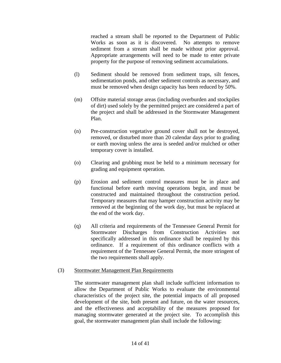reached a stream shall be reported to the Department of Public Works as soon as it is discovered. No attempts to remove sediment from a stream shall be made without prior approval. Appropriate arrangements will need to be made to enter private property for the purpose of removing sediment accumulations.

- (l) Sediment should be removed from sediment traps, silt fences, sedimentation ponds, and other sediment controls as necessary, and must be removed when design capacity has been reduced by 50%.
- (m) Offsite material storage areas (including overburden and stockpiles of dirt) used solely by the permitted project are considered a part of the project and shall be addressed in the Stormwater Management Plan.
- (n) Pre-construction vegetative ground cover shall not be destroyed, removed, or disturbed more than 20 calendar days prior to grading or earth moving unless the area is seeded and/or mulched or other temporary cover is installed.
- (o) Clearing and grubbing must be held to a minimum necessary for grading and equipment operation.
- (p) Erosion and sediment control measures must be in place and functional before earth moving operations begin, and must be constructed and maintained throughout the construction period. Temporary measures that may hamper construction activity may be removed at the beginning of the work day, but must be replaced at the end of the work day.
- (q) All criteria and requirements of the Tennessee General Permit for Stormwater Discharges from Construction Activities not specifically addressed in this ordinance shall be required by this ordinance. If a requirement of this ordinance conflicts with a requirement of the Tennessee General Permit, the more stringent of the two requirements shall apply.

### (3) Stormwater Management Plan Requirements

 The stormwater management plan shall include sufficient information to allow the Department of Public Works to evaluate the environmental characteristics of the project site, the potential impacts of all proposed development of the site, both present and future, on the water resources, and the effectiveness and acceptability of the measures proposed for managing stormwater generated at the project site. To accomplish this goal, the stormwater management plan shall include the following: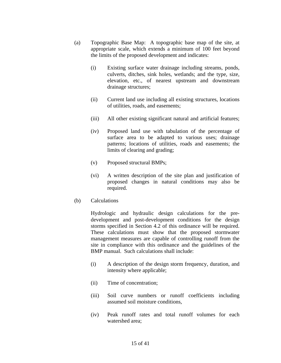- (a) Topographic Base Map: A topographic base map of the site, at appropriate scale, which extends a minimum of 100 feet beyond the limits of the proposed development and indicates:
	- (i) Existing surface water drainage including streams, ponds, culverts, ditches, sink holes, wetlands; and the type, size, elevation, etc., of nearest upstream and downstream drainage structures;
	- (ii) Current land use including all existing structures, locations of utilities, roads, and easements;
	- (iii) All other existing significant natural and artificial features;
	- (iv) Proposed land use with tabulation of the percentage of surface area to be adapted to various uses; drainage patterns; locations of utilities, roads and easements; the limits of clearing and grading;
	- (v) Proposed structural BMPs;
	- (vi) A written description of the site plan and justification of proposed changes in natural conditions may also be required.
- (b) Calculations

 Hydrologic and hydraulic design calculations for the predevelopment and post-development conditions for the design storms specified in Section 4.2 of this ordinance will be required. These calculations must show that the proposed stormwater management measures are capable of controlling runoff from the site in compliance with this ordinance and the guidelines of the BMP manual. Such calculations shall include:

- (i) A description of the design storm frequency, duration, and intensity where applicable;
- (ii) Time of concentration;
- (iii) Soil curve numbers or runoff coefficients including assumed soil moisture conditions,
- (iv) Peak runoff rates and total runoff volumes for each watershed area;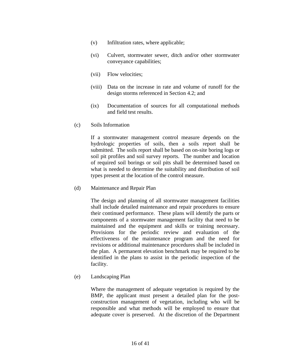- (v) Infiltration rates, where applicable;
- (vi) Culvert, stormwater sewer, ditch and/or other stormwater conveyance capabilities;
- (vii) Flow velocities;
- (viii) Data on the increase in rate and volume of runoff for the design storms referenced in Section 4.2; and
- (ix) Documentation of sources for all computational methods and field test results.
- (c) Soils Information

 If a stormwater management control measure depends on the hydrologic properties of soils, then a soils report shall be submitted. The soils report shall be based on on-site boring logs or soil pit profiles and soil survey reports. The number and location of required soil borings or soil pits shall be determined based on what is needed to determine the suitability and distribution of soil types present at the location of the control measure.

(d) Maintenance and Repair Plan

 The design and planning of all stormwater management facilities shall include detailed maintenance and repair procedures to ensure their continued performance. These plans will identify the parts or components of a stormwater management facility that need to be maintained and the equipment and skills or training necessary. Provisions for the periodic review and evaluation of the effectiveness of the maintenance program and the need for revisions or additional maintenance procedures shall be included in the plan. A permanent elevation benchmark may be required to be identified in the plans to assist in the periodic inspection of the facility.

(e) Landscaping Plan

 Where the management of adequate vegetation is required by the BMP, the applicant must present a detailed plan for the postconstruction management of vegetation, including who will be responsible and what methods will be employed to ensure that adequate cover is preserved. At the discretion of the Department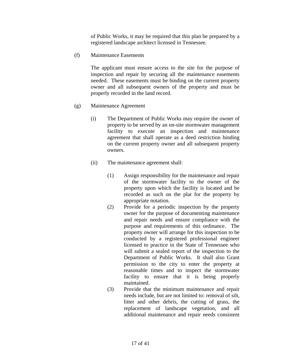of Public Works, it may be required that this plan be prepared by a registered landscape architect licensed in Tennessee.

(f) Maintenance Easements

 The applicant must ensure access to the site for the purpose of inspection and repair by securing all the maintenance easements needed. These easements must be binding on the current property owner and all subsequent owners of the property and must be properly recorded in the land record.

- (g) Maintenance Agreement
	- (i) The Department of Public Works may require the owner of property to be served by an on-site stormwater management facility to execute an inspection and maintenance agreement that shall operate as a deed restriction binding on the current property owner and all subsequent property owners.
	- (ii) The maintenance agreement shall:
		- (1) Assign responsibility for the maintenance and repair of the stormwater facility to the owner of the property upon which the facility is located and be recorded as such on the plat for the property by appropriate notation.
		- (2) Provide for a periodic inspection by the property owner for the purpose of documenting maintenance and repair needs and ensure compliance with the purpose and requirements of this ordinance. The property owner will arrange for this inspection to be conducted by a registered professional engineer licensed to practice in the State of Tennessee who will submit a sealed report of the inspection to the Department of Public Works. It shall also Grant permission to the city to enter the property at reasonable times and to inspect the stormwater facility to ensure that it is being properly maintained.
		- (3) Provide that the minimum maintenance and repair needs include, but are not limited to: removal of silt, litter and other debris, the cutting of grass, the replacement of landscape vegetation, and all additional maintenance and repair needs consistent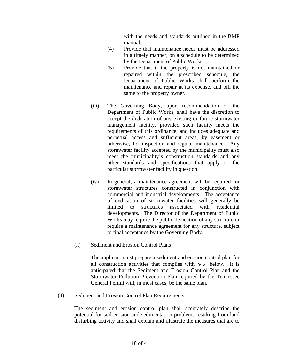with the needs and standards outlined in the BMP manual.

- (4) Provide that maintenance needs must be addressed in a timely manner, on a schedule to be determined by the Department of Public Works.
- (5) Provide that if the property is not maintained or repaired within the prescribed schedule, the Department of Public Works shall perform the maintenance and repair at its expense, and bill the same to the property owner.
- (iii) The Governing Body, upon recommendation of the Department of Public Works, shall have the discretion to accept the dedication of any existing or future stormwater management facility, provided such facility meets the requirements of this ordinance, and includes adequate and perpetual access and sufficient areas, by easement or otherwise, for inspection and regular maintenance. Any stormwater facility accepted by the municipality must also meet the municipality's construction standards and any other standards and specifications that apply to the particular stormwater facility in question.
- (iv) In general, a maintenance agreement will be required for stormwater structures constructed in conjunction with commercial and industrial developments. The acceptance of dedication of stormwater facilities will generally be limited to structures associated with residential developments. The Director of the Department of Public Works may require the public dedication of any structure or require a maintenance agreement for any structure, subject to final acceptance by the Governing Body.
- (h) Sediment and Erosion Control Plans

 The applicant must prepare a sediment and erosion control plan for all construction activities that complies with §4.4 below. It is anticipated that the Sediment and Erosion Control Plan and the Stormwater Pollution Prevention Plan required by the Tennessee General Permit will, in most cases, be the same plan.

#### (4) Sediment and Erosion Control Plan Requirements

 The sediment and erosion control plan shall accurately describe the potential for soil erosion and sedimentation problems resulting from land disturbing activity and shall explain and illustrate the measures that are to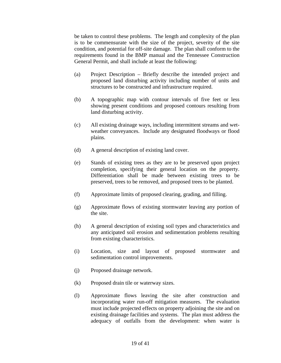be taken to control these problems. The length and complexity of the plan is to be commensurate with the size of the project, severity of the site condition, and potential for off-site damage. The plan shall conform to the requirements found in the BMP manual and the Tennessee Construction General Permit, and shall include at least the following:

- (a) Project Description Briefly describe the intended project and proposed land disturbing activity including number of units and structures to be constructed and infrastructure required.
- (b) A topographic map with contour intervals of five feet or less showing present conditions and proposed contours resulting from land disturbing activity.
- (c) All existing drainage ways, including intermittent streams and wetweather conveyances. Include any designated floodways or flood plains.
- (d) A general description of existing land cover.
- (e) Stands of existing trees as they are to be preserved upon project completion, specifying their general location on the property. Differentiation shall be made between existing trees to be preserved, trees to be removed, and proposed trees to be planted.
- (f) Approximate limits of proposed clearing, grading, and filling.
- (g) Approximate flows of existing stormwater leaving any portion of the site.
- (h) A general description of existing soil types and characteristics and any anticipated soil erosion and sedimentation problems resulting from existing characteristics.
- (i) Location, size and layout of proposed stormwater and sedimentation control improvements.
- (j) Proposed drainage network.
- (k) Proposed drain tile or waterway sizes.
- (l) Approximate flows leaving the site after construction and incorporating water run-off mitigation measures. The evaluation must include projected effects on property adjoining the site and on existing drainage facilities and systems. The plan must address the adequacy of outfalls from the development: when water is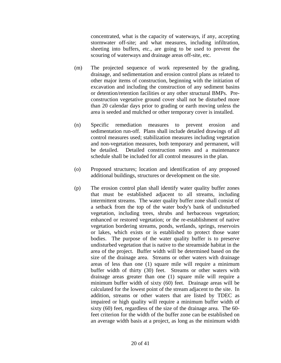concentrated, what is the capacity of waterways, if any, accepting stormwater off-site; and what measures, including infiltration, sheeting into buffers, etc., are going to be used to prevent the scouring of waterways and drainage areas off-site, etc.

- (m) The projected sequence of work represented by the grading, drainage, and sedimentation and erosion control plans as related to other major items of construction, beginning with the initiation of excavation and including the construction of any sediment basins or detention/retention facilities or any other structural BMPs. Preconstruction vegetative ground cover shall not be disturbed more than 20 calendar days prior to grading or earth moving unless the area is seeded and mulched or other temporary cover is installed.
- (n) Specific remediation measures to prevent erosion and sedimentation run-off. Plans shall include detailed drawings of all control measures used; stabilization measures including vegetation and non-vegetation measures, both temporary and permanent, will be detailed. Detailed construction notes and a maintenance schedule shall be included for all control measures in the plan.
- (o) Proposed structures; location and identification of any proposed additional buildings, structures or development on the site.
- (p) The erosion control plan shall identify water quality buffer zones that must be established adjacent to all streams, including intermittent streams. The water quality buffer zone shall consist of a setback from the top of the water body's bank of undisturbed vegetation, including trees, shrubs and herbaceous vegetation; enhanced or restored vegetation; or the re-establishment of native vegetation bordering streams, ponds, wetlands, springs, reservoirs or lakes, which exists or is established to protect those water bodies. The purpose of the water quality buffer is to preserve undisturbed vegetation that is native to the streamside habitat in the area of the project. Buffer width will be determined based on the size of the drainage area. Streams or other waters with drainage areas of less than one (1) square mile will require a minimum buffer width of thirty (30) feet. Streams or other waters with drainage areas greater than one (1) square mile will require a minimum buffer width of sixty (60) feet. Drainage areas will be calculated for the lowest point of the stream adjacent to the site. In addition, streams or other waters that are listed by TDEC as impaired or high quality will require a minimum buffer width of sixty (60) feet, regardless of the size of the drainage area. The 60 feet criterion for the width of the buffer zone can be established on an average width basis at a project, as long as the minimum width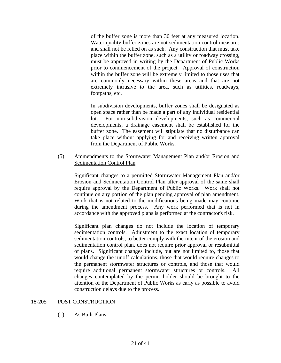of the buffer zone is more than 30 feet at any measured location. Water quality buffer zones are not sedimentation control measures and shall not be relied on as such. Any construction that must take place within the buffer zone, such as a utility or roadway crossing, must be approved in writing by the Department of Public Works prior to commencement of the project. Approval of construction within the buffer zone will be extremely limited to those uses that are commonly necessary within these areas and that are not extremely intrusive to the area, such as utilities, roadways, footpaths, etc.

In subdivision developments, buffer zones shall be designated as open space rather than be made a part of any individual residential lot. For non-subdivision developments, such as commercial developments, a drainage easement shall be established for the buffer zone. The easement will stipulate that no disturbance can take place without applying for and receiving written approval from the Department of Public Works.

## (5) Ammendments to the Stormwater Management Plan and/or Erosion and Sedimentation Control Plan

Significant changes to a permitted Stormwater Management Plan and/or Erosion and Sedimentation Control Plan after approval of the same shall require approval by the Department of Public Works. Work shall not continue on any portion of the plan pending approval of plan amendment. Work that is not related to the modifications being made may continue during the amendment process. Any work performed that is not in accordance with the approved plans is performed at the contractor's risk.

Significant plan changes do not include the location of temporary sedimentation controls. Adjustment to the exact location of temporary sedimentation controls, to better comply with the intent of the erosion and sedimentation control plan, does not require prior approval or resubmittal of plans. Significant changes include, but are not limited to, those that would change the runoff calculations, those that would require changes to the permanent stormwater structures or controls, and those that would require additional permanent stormwater structures or controls. All changes contemplated by the permit holder should be brought to the attention of the Department of Public Works as early as possible to avoid construction delays due to the process.

### 18-205 POST CONSTRUCTION

(1) As Built Plans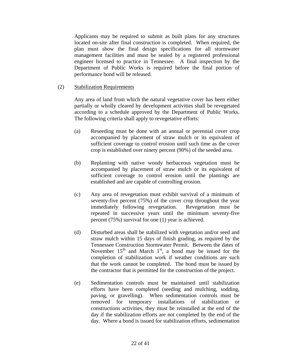Applicants may be required to submit as built plans for any structures located on-site after final construction is completed. When required, the plan must show the final design specifications for all stormwater management facilities and must be sealed by a registered professional engineer licensed to practice in Tennessee. A final inspection by the Department of Public Works is required before the final portion of performance bond will be released.

## (2) Stabilization Requirements

 Any area of land from which the natural vegetative cover has been either partially or wholly cleared by development activities shall be revegetated according to a schedule approved by the Department of Public Works. The following criteria shall apply to revegetative efforts:

- (a) Reseeding must be done with an annual or perennial cover crop accompanied by placement of straw mulch or its equivalent of sufficient coverage to control erosion until such time as the cover crop is established over ninety percent (90%) of the seeded area.
- (b) Replanting with native woody herbaceous vegetation must be accompanied by placement of straw mulch or its equivalent of sufficient coverage to control erosion until the plantings are established and are capable of controlling erosion.
- (c) Any area of revegetation must exhibit survival of a minimum of seventy-five percent (75%) of the cover crop throughout the year immediately following revegetation. Revegetation must be repeated in successive years until the minimum seventy-five percent (75%) survival for one (1) year is achieved.
- (d) Disturbed areas shall be stabilized with vegetation and/or seed and straw mulch within 15 days of finish grading, as required by the Tennessee Construction Stormwater Permit. Between the dates of November  $15<sup>th</sup>$  and March  $1<sup>st</sup>$ , a bond may be issued for the completion of stabilization work if weather conditions are such that the work cannot be completed. The bond must be issued by the contractor that is permitted for the construction of the project.
- (e) Sedimentation controls must be maintained until stabilization efforts have been completed (seeding and mulching, sodding, paving, or gravelling). When sedimentation controls must be removed for temporary installations of stabilization or constructions activities, they must be reinstalled at the end of the day if the stabilization efforts are not completed by the end of the day. Where a bond is issued for stabilization efforts, sedimentation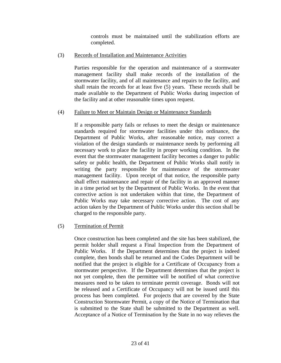controls must be maintained until the stabilization efforts are completed.

# (3) Records of Installation and Maintenance Activities

 Parties responsible for the operation and maintenance of a stormwater management facility shall make records of the installation of the stormwater facility, and of all maintenance and repairs to the facility, and shall retain the records for at least five (5) years. These records shall be made available to the Department of Public Works during inspection of the facility and at other reasonable times upon request.

## (4) Failure to Meet or Maintain Design or Maintenance Standards

 If a responsible party fails or refuses to meet the design or maintenance standards required for stormwater facilities under this ordinance, the Department of Public Works, after reasonable notice, may correct a violation of the design standards or maintenance needs by performing all necessary work to place the facility in proper working condition. In the event that the stormwater management facility becomes a danger to public safety or public health, the Department of Public Works shall notify in writing the party responsible for maintenance of the stormwater management facility. Upon receipt of that notice, the responsible party shall effect maintenance and repair of the facility in an approved manner in a time period set by the Department of Public Works. In the event that corrective action is not undertaken within that time, the Department of Public Works may take necessary corrective action. The cost of any action taken by the Department of Public Works under this section shall be charged to the responsible party.

# (5) Termination of Permit

 Once construction has been completed and the site has been stabilized, the permit holder shall request a Final Inspection from the Department of Public Works. If the Department determines that the project is indeed complete, then bonds shall be returned and the Codes Department will be notified that the project is eligible for a Certificate of Occupancy from a stormwater perspective. If the Department determines that the project is not yet complete, then the permittee will be notified of what corrective measures need to be taken to terminate permit coverage. Bonds will not be released and a Certificate of Occupancy will not be issued until this process has been completed. For projects that are covered by the State Construction Stormwater Permit, a copy of the Notice of Termination that is submitted to the State shall be submitted to the Department as well. Acceptance of a Notice of Termination by the State in no way relieves the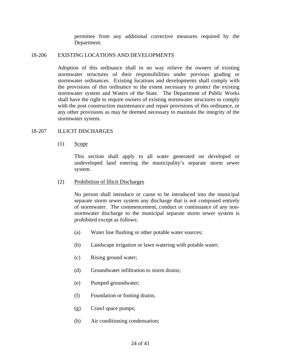permittee from any additional corrective measures required by the Department.

#### 18-206 EXISTING LOCATIONS AND DEVELOPMENTS

 Adoption of this ordinance shall in no way relieve the owners of existing stormwater structures of their responsibilities under previous grading or stormwater ordinances. Existing locations and developments shall comply with the provisions of this ordinance to the extent necessary to protect the existing stormwater system and Waters of the State. The Department of Public Works shall have the right to require owners of existing stormwater structures to comply with the post construction maintenance and repair provisions of this ordinance, or any other provisions as may be deemed necessary to maintain the integrity of the stormwater system.

## 18-207 ILLICIT DISCHARGES

#### $(1)$  Scope

 This section shall apply to all water generated on developed or undeveloped land entering the municipality's separate storm sewer system.

#### (2) Prohibition of Illicit Discharges

 No person shall introduce or cause to be introduced into the municipal separate storm sewer system any discharge that is not composed entirely of stormwater. The commencement, conduct or continuance of any nonstormwater discharge to the municipal separate storm sewer system is prohibited except as follows:

- (a) Water line flushing or other potable water sources;
- (b) Landscape irrigation or lawn watering with potable water;
- (c) Rising ground water;
- (d) Groundwater infiltration to storm drains;
- (e) Pumped groundwater;
- (f) Foundation or footing drains;
- (g) Crawl space pumps;
- (h) Air conditioning condensation;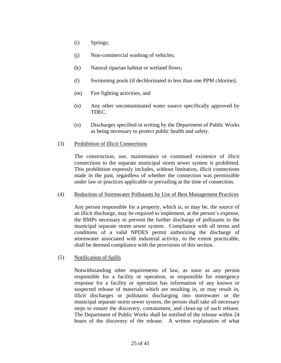- (i) Springs;
- (j) Non-commercial washing of vehicles;
- (k) Natural riparian habitat or wetland flows;
- (l) Swimming pools (if dechlorinated to less than one PPM chlorine);
- (m) Fire fighting activities, and
- (n) Any other uncontaminated water source specifically approved by TDEC.
- (o) Discharges specified in writing by the Department of Public Works as being necessary to protect public health and safety.

#### (3) Prohibition of Illicit Connections

 The construction, use, maintenance or continued existence of illicit connections to the separate municipal storm sewer system is prohibited. This prohibition expressly includes, without limitation, illicit connections made in the past, regardless of whether the connection was permissible under law or practices applicable or prevailing at the time of connection.

### (4) Reduction of Stormwater Pollutants by Use of Best Management Practices

 Any person responsible for a property, which is, or may be, the source of an illicit discharge, may be required to implement, at the person's expense, the BMPs necessary to prevent the further discharge of pollutants to the municipal separate storm sewer system. Compliance with all terms and conditions of a valid NPDES permit authorizing the discharge of stormwater associated with industrial activity, to the extent practicable, shall be deemed compliance with the provisions of this section.

### (5) Notification of Spills

 Notwithstanding other requirements of law, as soon as any person responsible for a facility or operation, or responsible for emergency response for a facility or operation has information of any known or suspected release of materials which are resulting in, or may result in, illicit discharges or pollutants discharging into stormwater or the municipal separate storm sewer system, the person shall take all necessary steps to ensure the discovery, containment, and clean-up of such release. The Department of Public Works shall be notified of the release within 24 hours of the discovery of the release. A written explanation of what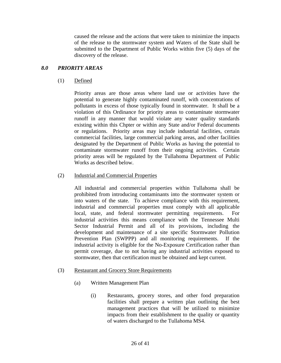caused the release and the actions that were taken to minimize the impacts of the release to the stormwater system and Waters of the State shall be submitted to the Department of Public Works within five (5) days of the discovery of the release.

## *8.0 PRIORITY AREAS*

(1) Defined

Priority areas are those areas where land use or activities have the potential to generate highly contaminated runoff, with concentrations of pollutants in excess of those typically found in stormwater. It shall be a violation of this Ordinance for priority areas to contaminate stormwater runoff in any manner that would violate any water quality standards existing within this Chpter or within any State and/or Federal documents or regulations. Priority areas may include industrial facilities, certain commercial facilities, large commercial parking areas, and other facilities designated by the Department of Public Works as having the potential to contaminate stormwater runoff from their ongoing activities. Certain priority areas will be regulated by the Tullahoma Department of Public Works as described below.

## (2) Industrial and Commercial Properties

All industrial and commercial properties within Tullahoma shall be prohibited from introducing contaminants into the stormwater system or into waters of the state. To achieve compliance with this requirement, industrial and commercial properties must comply with all applicable local, state, and federal stormwater permitting requirements. For industrial activities this means compliance with the Tennessee Multi Sector Industrial Permit and all of its provisions, including the development and maintenance of a site specific Stormwater Pollution Prevention Plan (SWPPP) and all monitoring requirements. If the industrial activity is eligible for the No-Exposure Certification rather than permit coverage, due to not having any industrial activities exposed to stormwater, then that certification must be obtained and kept current.

- (3) Restaurant and Grocery Store Requirements
	- (a) Written Management Plan
		- (i) Restaurants, grocery stores, and other food preparation facilities shall prepare a written plan outlining the best management practices that will be utilized to minimize impacts from their establishment to the quality or quantity of waters discharged to the Tullahoma MS4.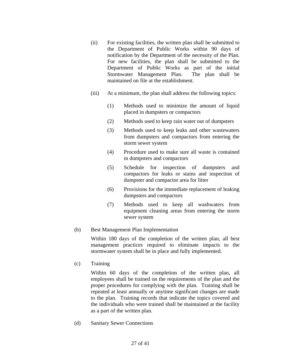- (ii) For existing facilities, the written plan shall be submitted to the Department of Public Works within 90 days of notification by the Department of the necessity of the Plan. For new facilities, the plan shall be submitted to the Department of Public Works as part of the initial Stormwater Management Plan. The plan shall be maintained on file at the establishment.
- (iii) At a minimum, the plan shall address the following topics:
	- (1) Methods used to minimize the amount of liquid placed in dumpsters or compactors
	- (2) Methods used to keep rain water out of dumpsters
	- (3) Methods used to keep leaks and other wastewaters from dumpsters and compactors from entering the storm sewer system
	- (4) Procedure used to make sure all waste is contained in dumpsters and compactors
	- (5) Schedule for inspection of dumpsters and compactors for leaks or stains and inspection of dumpster and compactor area for litter
	- (6) Provisions for the immediate replacement of leaking dumpsters and compactors
	- (7) Methods used to keep all washwaters from equipment cleaning areas from entering the storm sewer system

# (b) Best Management Plan Implementation

Within 180 days of the completion of the written plan, all best management practices required to eliminate impacts to the stormwater system shall be in place and fully implemented.

(c) Training

Within 60 days of the completion of the written plan, all employees shall be trained on the requirements of the plan and the proper procedures for complying with the plan. Training shall be repeated at least annually or anytime significant changes are made to the plan. Training records that indicate the topics covered and the individuals who were trained shall be maintained at the facility as a part of the written plan.

(d) Sanitary Sewer Connections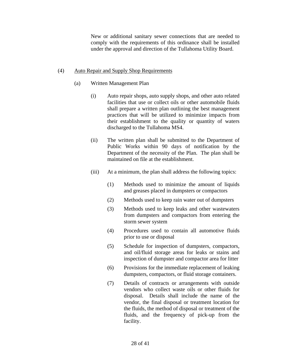New or additional sanitary sewer connections that are needed to comply with the requirements of this ordinance shall be installed under the approval and direction of the Tullahoma Utility Board.

## (4) Auto Repair and Supply Shop Requirements

- (a) Written Management Plan
	- (i) Auto repair shops, auto supply shops, and other auto related facilities that use or collect oils or other automobile fluids shall prepare a written plan outlining the best management practices that will be utilized to minimize impacts from their establishment to the quality or quantity of waters discharged to the Tullahoma MS4.
	- (ii) The written plan shall be submitted to the Department of Public Works within 90 days of notification by the Department of the necessity of the Plan. The plan shall be maintained on file at the establishment.
	- (iii) At a minimum, the plan shall address the following topics:
		- (1) Methods used to minimize the amount of liquids and greases placed in dumpsters or compactors
		- (2) Methods used to keep rain water out of dumpsters
		- (3) Methods used to keep leaks and other wastewaters from dumpsters and compactors from entering the storm sewer system
		- (4) Procedures used to contain all automotive fluids prior to use or disposal
		- (5) Schedule for inspection of dumpsters, compactors, and oil/fluid storage areas for leaks or stains and inspection of dumpster and compactor area for litter
		- (6) Provisions for the immediate replacement of leaking dumpsters, compactors, or fluid storage containers.
		- (7) Details of contracts or arrangements with outside vendors who collect waste oils or other fluids for disposal. Details shall include the name of the vendor, the final disposal or treatment location for the fluids, the method of disposal or treatment of the fluids, and the frequency of pick-up from the facility.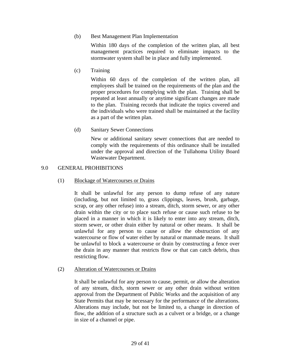## (b) Best Management Plan Implementation

 Within 180 days of the completion of the written plan, all best management practices required to eliminate impacts to the stormwater system shall be in place and fully implemented.

(c) Training

 Within 60 days of the completion of the written plan, all employees shall be trained on the requirements of the plan and the proper procedures for complying with the plan. Training shall be repeated at least annually or anytime significant changes are made to the plan. Training records that indicate the topics covered and the individuals who were trained shall be maintained at the facility as a part of the written plan.

(d) Sanitary Sewer Connections

 New or additional sanitary sewer connections that are needed to comply with the requirements of this ordinance shall be installed under the approval and direction of the Tullahoma Utility Board Wastewater Department.

# 9.0 GENERAL PROHIBITIONS

# (1) Blockage of Watercourses or Drains

 It shall be unlawful for any person to dump refuse of any nature (including, but not limited to, grass clippings, leaves, brush, garbage, scrap, or any other refuse) into a stream, ditch, storm sewer, or any other drain within the city or to place such refuse or cause such refuse to be placed in a manner in which it is likely to enter into any stream, ditch, storm sewer, or other drain either by natural or other means. It shall be unlawful for any person to cause or allow the obstruction of any watercourse or flow of water either by natural or manmade means. It shall be unlawful to block a watercourse or drain by constructing a fence over the drain in any manner that restricts flow or that can catch debris, thus restricting flow.

# (2) Alteration of Watercourses or Drains

 It shall be unlawful for any person to cause, permit, or allow the alteration of any stream, ditch, storm sewer or any other drain without written approval from the Department of Public Works and the acquisition of any State Permits that may be necessary for the performance of the alterations. Alterations may include, but not be limited to, a change in direction of flow, the addition of a structure such as a culvert or a bridge, or a change in size of a channel or pipe.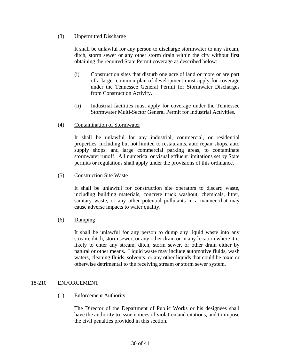## (3) Unpermitted Discharge

 It shall be unlawful for any person to discharge stormwater to any stream, ditch, storm sewer or any other storm drain within the city without first obtaining the required State Permit coverage as described below:

- (i) Construction sites that disturb one acre of land or more or are part of a larger common plan of development must apply for coverage under the Tennessee General Permit for Stormwater Discharges from Construction Activity.
- (ii) Industrial facilities must apply for coverage under the Tennessee Stormwater Multi-Sector General Permit for Industrial Activities.
- (4) Contamination of Stormwater

 It shall be unlawful for any industrial, commercial, or residential properties, including but not limited to restaurants, auto repair shops, auto supply shops, and large commercial parking areas, to contaminate stormwater runoff. All numerical or visual effluent limitations set by State permits or regulations shall apply under the provisions of this ordinance.

(5) Construction Site Waste

 It shall be unlawful for construction site operators to discard waste, including building materials, concrete truck washout, chemicals, litter, sanitary waste, or any other potential pollutants in a manner that may cause adverse impacts to water quality.

(6) Dumping

 It shall be unlawful for any person to dump any liquid waste into any stream, ditch, storm sewer, or any other drain or in any location where it is likely to enter any stream, ditch, storm sewer, or other drain either by natural or other means. Liquid waste may include automotive fluids, wash waters, cleaning fluids, solvents, or any other liquids that could be toxic or otherwise detrimental to the receiving stream or storm sewer system.

### 18-210 ENFORCEMENT

(1) Enforcement Authority

 The Director of the Department of Public Works or his designees shall have the authority to issue notices of violation and citations, and to impose the civil penalties provided in this section.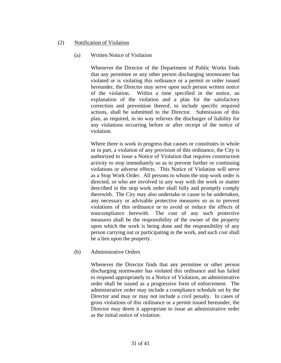## (2) Notification of Violation

## (a) Written Notice of Violation

 Whenever the Director of the Department of Public Works finds that any permittee or any other person discharging stormwater has violated or is violating this ordinance or a permit or order issued hereunder, the Director may serve upon such person written notice of the violation. Within a time specified in the notice, an explanation of the violation and a plan for the satisfactory correction and prevention thereof, to include specific required actions, shall be submitted to the Director. Submission of this plan, as required, in no way relieves the discharger of liability for any violations occurring before or after receipt of the notice of violation.

Where there is work in progress that causes or constitutes in whole or in part, a violation of any provision of this ordinance, the City is authorized to issue a Notice of Violation that requires construction activity to stop immediately so as to prevent further or continuing violations or adverse effects. This Notice of Violation will serve as a Stop Work Order. All persons to whom the stop work order is directed, or who are involved in any way with the work or matter described in the stop work order shall fully and promptly comply therewith. The City may also undertake or cause to be undertaken, any necessary or advisable protective measures so as to prevent violations of this ordinance or to avoid or reduce the effects of noncompliance herewith. The cost of any such protective measures shall be the responsibility of the owner of the property upon which the work is being done and the responsibility of any person carrying out or participating in the work, and such cost shall be a lien upon the property.

### (b) Administrative Orders

 Whenever the Director finds that any permittee or other person discharging stormwater has violated this ordinance and has failed to respond appropriately to a Notice of Violation, an administrative order shall be issued as a progressive form of enforcement. The administrative order may include a compliance schedule set by the Director and may or may not include a civil penalty. In cases of gross violations of this ordinance or a permit issued hereunder, the Director may deem it appropriate to issue an administrative order as the initial notice of violation.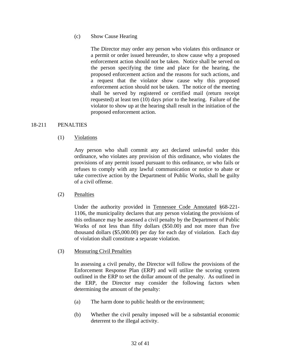### (c) Show Cause Hearing

 The Director may order any person who violates this ordinance or a permit or order issued hereunder, to show cause why a proposed enforcement action should not be taken. Notice shall be served on the person specifying the time and place for the hearing, the proposed enforcement action and the reasons for such actions, and a request that the violator show cause why this proposed enforcement action should not be taken. The notice of the meeting shall be served by registered or certified mail (return receipt requested) at least ten (10) days prior to the hearing. Failure of the violator to show up at the hearing shall result in the initiation of the proposed enforcement action.

#### 18-211 PENALTIES

### (1) Violations

 Any person who shall commit any act declared unlawful under this ordinance, who violates any provision of this ordinance, who violates the provisions of any permit issued pursuant to this ordinance, or who fails or refuses to comply with any lawful communication or notice to abate or take corrective action by the Department of Public Works, shall be guilty of a civil offense.

### (2) Penalties

 Under the authority provided in Tennessee Code Annotated §68-221- 1106, the municipality declares that any person violating the provisions of this ordinance may be assessed a civil penalty by the Department of Public Works of not less than fifty dollars (\$50.00) and not more than five thousand dollars (\$5,000.00) per day for each day of violation. Each day of violation shall constitute a separate violation.

### (3) Measuring Civil Penalties

 In assessing a civil penalty, the Director will follow the provisions of the Enforcement Response Plan (ERP) and will utilize the scoring system outlined in the ERP to set the dollar amount of the penalty. As outlined in the ERP, the Director may consider the following factors when determining the amount of the penalty:

- (a) The harm done to public health or the environment;
- (b) Whether the civil penalty imposed will be a substantial economic deterrent to the illegal activity.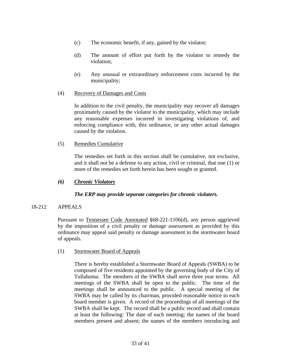- (c) The economic benefit, if any, gained by the violator;
- (d) The amount of effort put forth by the violator to remedy the violation;
- (e) Any unusual or extraordinary enforcement costs incurred by the municipality;
- (4) Recovery of Damages and Costs

 In addition to the civil penalty, the municipality may recover all damages proximately caused by the violator to the municipality, which may include any reasonable expenses incurred in investigating violations of, and enforcing compliance with, this ordinance, or any other actual damages caused by the violation.

(5) Remedies Cumulative

 The remedies set forth in this section shall be cumulative, not exclusive, and it shall not be a defense to any action, civil or criminal, that one (1) or more of the remedies set forth herein has been sought or granted.

*(6) Chronic Violators* 

### *The ERP may provide separate categories for chronic violaters.*

### 18-212 APPEALS

 Pursuant to Tennessee Code Annotated §68-221-1106(d), any person aggrieved by the imposition of a civil penalty or damage assessment as provided by this ordinance may appeal said penalty or damage assessment to the stormwater board of appeals.

(1) Stormwater Board of Appeals

 There is hereby established a Stormwater Board of Appeals (SWBA) to be composed of five residents appointed by the governing body of the City of Tullahoma. The members of the SWBA shall serve three year terms. All meetings of the SWBA shall be open to the public. The time of the meetings shall be announced to the public. A special meeting of the SWBA may be called by its chairman, provided reasonable notice to each board member is given. A record of the proceedings of all meetings of the SWBA shall be kept. The record shall be a public record and shall contain at least the following: The date of each meeting; the names of the board members present and absent; the names of the members introducing and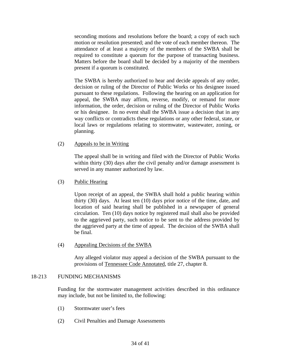seconding motions and resolutions before the board; a copy of each such motion or resolution presented; and the vote of each member thereon. The attendance of at least a majority of the members of the SWBA shall be required to constitute a quorum for the purpose of transacting business. Matters before the board shall be decided by a majority of the members present if a quorum is constituted.

 The SWBA is hereby authorized to hear and decide appeals of any order, decision or ruling of the Director of Public Works or his designee issued pursuant to these regulations. Following the hearing on an application for appeal, the SWBA may affirm, reverse, modify, or remand for more information, the order, decision or ruling of the Director of Public Works or his designee. In no event shall the SWBA issue a decision that in any way conflicts or contradicts these regulations or any other federal, state, or local laws or regulations relating to stormwater, wastewater, zoning, or planning.

(2) Appeals to be in Writing

 The appeal shall be in writing and filed with the Director of Public Works within thirty (30) days after the civil penalty and/or damage assessment is served in any manner authorized by law.

(3) Public Hearing

 Upon receipt of an appeal, the SWBA shall hold a public hearing within thirty (30) days. At least ten (10) days prior notice of the time, date, and location of said hearing shall be published in a newspaper of general circulation. Ten (10) days notice by registered mail shall also be provided to the aggrieved party, such notice to be sent to the address provided by the aggrieved party at the time of appeal. The decision of the SWBA shall be final.

(4) Appealing Decisions of the SWBA

 Any alleged violator may appeal a decision of the SWBA pursuant to the provisions of Tennessee Code Annotated, title 27, chapter 8.

#### 18-213 FUNDING MECHANISMS

 Funding for the stormwater management activities described in this ordinance may include, but not be limited to, the following:

- (1) Stormwater user's fees
- (2) Civil Penalties and Damage Assessments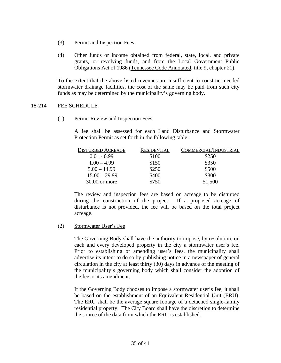- (3) Permit and Inspection Fees
- (4) Other funds or income obtained from federal, state, local, and private grants, or revolving funds, and from the Local Government Public Obligations Act of 1986 (Tennessee Code Annotated, title 9, chapter 21).

 To the extent that the above listed revenues are insufficient to construct needed stormwater drainage facilities, the cost of the same may be paid from such city funds as may be determined by the municipality's governing body.

#### 18-214 FEE SCHEDULE

(1) Permit Review and Inspection Fees

 A fee shall be assessed for each Land Disturbance and Stormwater Protection Permit as set forth in the following table:

| <b>DISTURBED ACREAGE</b> | RESIDENTIAL | COMMERCIAL/INDUSTRIAL |
|--------------------------|-------------|-----------------------|
| $0.01 - 0.99$            | \$100       | \$250                 |
| $1.00 - 4.99$            | \$150       | \$350                 |
| $5.00 - 14.99$           | \$250       | \$500                 |
| $15.00 - 29.99$          | \$400       | \$800                 |
| $30.00$ or more          | \$750       | \$1,500               |

 The review and inspection fees are based on acreage to be disturbed during the construction of the project. If a proposed acreage of disturbance is not provided, the fee will be based on the total project acreage.

### (2) Stormwater User's Fee

 The Governing Body shall have the authority to impose, by resolution, on each and every developed property in the city a stormwater user's fee. Prior to establishing or amending user's fees, the municipality shall advertise its intent to do so by publishing notice in a newspaper of general circulation in the city at least thirty (30) days in advance of the meeting of the municipality's governing body which shall consider the adoption of the fee or its amendment.

 If the Governing Body chooses to impose a stormwater user's fee, it shall be based on the establishment of an Equivalent Residential Unit (ERU). The ERU shall be the average square footage of a detached single-family residential property. The City Board shall have the discretion to determine the source of the data from which the ERU is established.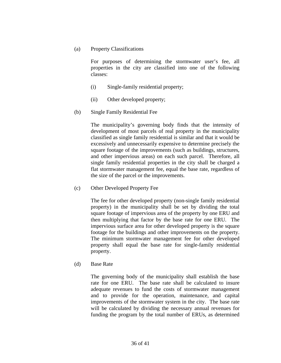(a) Property Classifications

 For purposes of determining the stormwater user's fee, all properties in the city are classified into one of the following classes:

- (i) Single-family residential property;
- (ii) Other developed property;
- (b) Single Family Residential Fee

 The municipality's governing body finds that the intensity of development of most parcels of real property in the municipality classified as single family residential is similar and that it would be excessively and unnecessarily expensive to determine precisely the square footage of the improvements (such as buildings, structures, and other impervious areas) on each such parcel. Therefore, all single family residential properties in the city shall be charged a flat stormwater management fee, equal the base rate, regardless of the size of the parcel or the improvements.

(c) Other Developed Property Fee

 The fee for other developed property (non-single family residential property) in the municipality shall be set by dividing the total square footage of impervious area of the property by one ERU and then multiplying that factor by the base rate for one ERU. The impervious surface area for other developed property is the square footage for the buildings and other improvements on the property. The minimum stormwater management fee for other developed property shall equal the base rate for single-family residential property.

(d) Base Rate

 The governing body of the municipality shall establish the base rate for one ERU. The base rate shall be calculated to insure adequate revenues to fund the costs of stormwater management and to provide for the operation, maintenance, and capital improvements of the stormwater system in the city. The base rate will be calculated by dividing the necessary annual revenues for funding the program by the total number of ERUs, as determined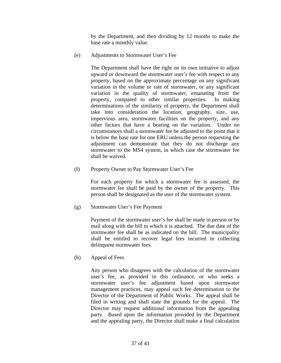by the Department, and then dividing by 12 months to make the base rate a monthly value.

(e) Adjustments to Stormwater User's Fee

 The Department shall have the right on its own initiative to adjust upward or downward the stormwater user's fee with respect to any property, based on the approximate percentage on any significant variation in the volume or rate of stormwater, or any significant variation in the quality of stormwater, emanating from the property, compared to other similar properties. In making determinations of the similarity of property, the Department shall take into consideration the location, geography, size, use, impervious area, stormwater facilities on the property, and any other factors that have a bearing on the variation. Under no circumstances shall a stormwater fee be adjusted to the point that it is below the base rate for one ERU unless the person requesting the adjustment can demonstrate that they do not discharge any stormwater to the MS4 system, in which case the stormwater fee shall be waived.

(f) Property Owner to Pay Stormwater User's Fee

 For each property for which a stormwater fee is assessed, the stormwater fee shall be paid by the owner of the property. This person shall be designated as the user of the stormwater system.

(g) Stormwater User's Fee Payment

 Payment of the stormwater user's fee shall be made in person or by mail along with the bill to which it is attached. The due date of the stormwater fee shall be as indicated on the bill. The municipality shall be entitled to recover legal fees incurred in collecting delinquent stormwater fees.

(h) Appeal of Fees

 Any person who disagrees with the calculation of the stormwater user's fee, as provided in this ordinance, or who seeks a stormwater user's fee adjustment based upon stormwater management practices, may appeal such fee determination to the Director of the Department of Public Works. The appeal shall be filed in writing and shall state the grounds for the appeal. The Director may request additional information from the appealing party. Based upon the information provided by the Department and the appealing party, the Director shall make a final calculation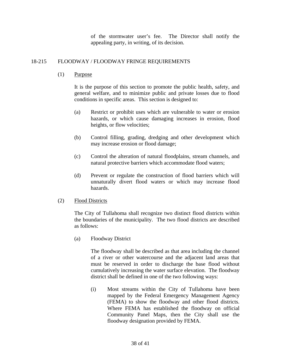of the stormwater user's fee. The Director shall notify the appealing party, in writing, of its decision.

# 18-215 FLOODWAY / FLOODWAY FRINGE REQUIREMENTS

(1) Purpose

 It is the purpose of this section to promote the public health, safety, and general welfare, and to minimize public and private losses due to flood conditions in specific areas. This section is designed to:

- (a) Restrict or prohibit uses which are vulnerable to water or erosion hazards, or which cause damaging increases in erosion, flood heights, or flow velocities;
- (b) Control filling, grading, dredging and other development which may increase erosion or flood damage;
- (c) Control the alteration of natural floodplains, stream channels, and natural protective barriers which accommodate flood waters;
- (d) Prevent or regulate the construction of flood barriers which will unnaturally divert flood waters or which may increase flood hazards.
- (2) Flood Districts

 The City of Tullahoma shall recognize two distinct flood districts within the boundaries of the municipality. The two flood districts are described as follows:

(a) Floodway District

 The floodway shall be described as that area including the channel of a river or other watercourse and the adjacent land areas that must be reserved in order to discharge the base flood without cumulatively increasing the water surface elevation. The floodway district shall be defined in one of the two following ways:

 (i) Most streams within the City of Tullahoma have been mapped by the Federal Emergency Management Agency (FEMA) to show the floodway and other flood districts. Where FEMA has established the floodway on official Community Panel Maps, then the City shall use the floodway designation provided by FEMA.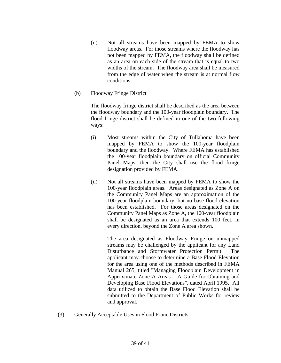- (ii) Not all streams have been mapped by FEMA to show floodway areas. For those streams where the floodway has not been mapped by FEMA, the floodway shall be defined as an area on each side of the stream that is equal to two widths of the stream. The floodway area shall be measured from the edge of water when the stream is at normal flow conditions.
- (b) Floodway Fringe District

 The floodway fringe district shall be described as the area between the floodway boundary and the 100-year floodplain boundary. The flood fringe district shall be defined in one of the two following ways:

- (i) Most streams within the City of Tullahoma have been mapped by FEMA to show the 100-year floodplain boundary and the floodway. Where FEMA has established the 100-year floodplain boundary on official Community Panel Maps, then the City shall use the flood fringe designation provided by FEMA.
- (ii) Not all streams have been mapped by FEMA to show the 100-year floodplain areas. Areas designated as Zone A on the Community Panel Maps are an approximation of the 100-year floodplain boundary, but no base flood elevation has been established. For those areas designated on the Community Panel Maps as Zone A, the 100-year floodplain shall be designated as an area that extends 100 feet, in every direction, beyond the Zone A area shown.

 The area designated as Floodway Fringe on unmapped streams may be challenged by the applicant for any Land Disturbance and Stormwater Protection Permit. The applicant may choose to determine a Base Flood Elevation for the area using one of the methods described in FEMA Manual 265, titled "Managing Floodplain Development in Approximate Zone A Areas – A Guide for Obtaining and Developing Base Flood Elevations", dated April 1995. All data utilized to obtain the Base Flood Elevation shall be submitted to the Department of Public Works for review and approval.

(3) Generally Acceptable Uses in Flood Prone Districts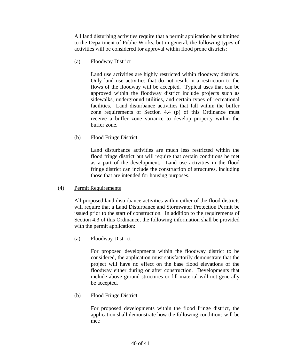All land disturbing activities require that a permit application be submitted to the Department of Public Works, but in general, the following types of activities will be considered for approval within flood prone districts:

(a) Floodway District

 Land use activities are highly restricted within floodway districts. Only land use activities that do not result in a restriction to the flows of the floodway will be accepted. Typical uses that can be approved within the floodway district include projects such as sidewalks, underground utilities, and certain types of recreational facilities. Land disturbance activities that fall within the buffer zone requirements of Section 4.4 (p) of this Ordinance must receive a buffer zone variance to develop property within the buffer zone.

(b) Flood Fringe District

 Land disturbance activities are much less restricted within the flood fringe district but will require that certain conditions be met as a part of the development. Land use activities in the flood fringe district can include the construction of structures, including those that are intended for housing purposes.

(4) Permit Requirements

 All proposed land disturbance activities within either of the flood districts will require that a Land Disturbance and Stormwater Protection Permit be issued prior to the start of construction. In addition to the requirements of Section 4.3 of this Ordinance, the following information shall be provided with the permit application:

(a) Floodway District

 For proposed developments within the floodway district to be considered, the application must satisfactorily demonstrate that the project will have no effect on the base flood elevations of the floodway either during or after construction. Developments that include above ground structures or fill material will not generally be accepted.

(b) Flood Fringe District

 For proposed developments within the flood fringe district, the application shall demonstrate how the following conditions will be met: